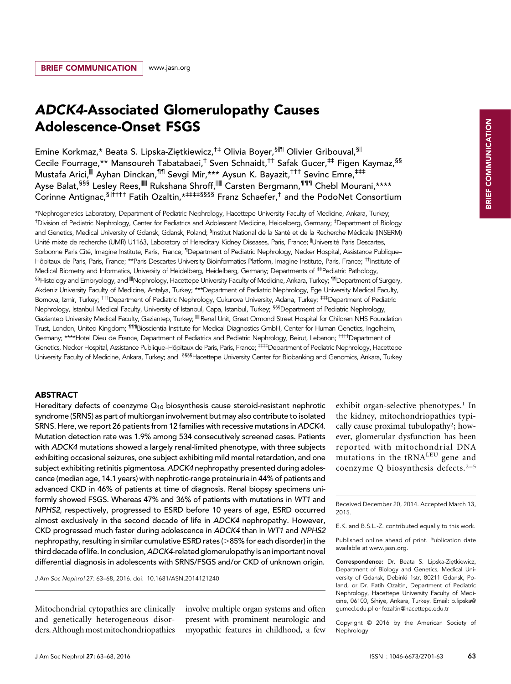# ADCK4-Associated Glomerulopathy Causes Adolescence-Onset FSGS

Emine Korkmaz,\* Beata S. Lipska-Zietkiewicz,<sup>†‡</sup> Olivia Boyer,<sup>§||¶</sup> Olivier Gribouval,<sup>§||</sup> Cecile Fourrage,\*\* Mansoureh Tabatabaei,† Sven Schnaidt,†† Safak Gucer,‡‡ Figen Kaymaz,§§ Mustafa Arici,<sup>|||</sup> Ayhan Dinckan,<sup>¶¶</sup> Sevgi Mir,\*\*\* Aysun K. Bayazit,<sup>†††</sup> Sevinc Emre,<sup>‡‡‡</sup> Ayse Balat,<sup>§§§</sup> Lesley Rees,<sup>|||||</sup> Rukshana Shroff,<sup>||||||</sup> Carsten Bergmann,<sup>¶¶¶</sup> Chebl Mourani,\*\*\*\* Corinne Antignac,§|†††† Fatih Ozaltin,\*‡‡‡‡§§§§ Franz Schaefer,† and the PodoNet Consortium

\*Nephrogenetics Laboratory, Department of Pediatric Nephrology, Hacettepe University Faculty of Medicine, Ankara, Turkey; † Division of Pediatric Nephrology, Center for Pediatrics and Adolescent Medicine, Heidelberg, Germany; ‡ Department of Biology and Genetics, Medical University of Gdansk, Gdansk, Poland; <sup>§</sup>Institut National de la Santé et de la Recherche Médicale (INSERM) Unité mixte de recherche (UMR) U1163, Laboratory of Hereditary Kidney Diseases, Paris, France; <sup>II</sup>Université Paris Descartes, Sorbonne Paris Cité, Imagine Institute, Paris, France; <sup>1</sup>IDepartment of Pediatric Nephrology, Necker Hospital, Assistance Publique– Hôpitaux de Paris, Paris, France; \*\*Paris Descartes University Bioinformatics Platform, Imagine Institute, Paris, France; ††Institute of Medical Biometry and Informatics, University of Heidelberg, Heidelberg, Germany; Departments of #Pediatric Pathology, §§Histology and Embryology, and <sup>III</sup>Nephrology, Hacettepe University Faculty of Medicine, Ankara, Turkey; <sup>¶¶</sup>Department of Surgery, Akdeniz University Faculty of Medicine, Antalya, Turkey; \*\*\*Department of Pediatric Nephrology, Ege University Medical Faculty, Bornova, Izmir, Turkey; <sup>†††</sup>Department of Pediatric Nephrology, Cukurova University, Adana, Turkey; <sup>#‡†</sup>Department of Pediatric Nephrology, Istanbul Medical Faculty, University of Istanbul, Capa, Istanbul, Turkey; <sup>§§§</sup>Department of Pediatric Nephrology, Gaziantep University Medical Faculty, Gaziantep, Turkey; <sup>||||||</sup>Renal Unit, Great Ormond Street Hospital for Children NHS Foundation Trust, London, United Kingdom; 1111<sub>B</sub>ioscientia Institute for Medical Diagnostics GmbH, Center for Human Genetics, Ingelheim, Germany; \*\*\*\*Hotel Dieu de France, Department of Pediatrics and Pediatric Nephrology, Beirut, Lebanon; ††††Department of Genetics, Necker Hospital, Assistance Publique–Hôpitaux de Paris, Paris, France; ###Department of Pediatric Nephrology, Hacettepe University Faculty of Medicine, Ankara, Turkey; and <sup>§§§§</sup>Hacettepe University Center for Biobanking and Genomics, Ankara, Turkey

## **ABSTRACT**

Hereditary defects of coenzyme  $Q_{10}$  biosynthesis cause steroid-resistant nephrotic syndrome (SRNS) as part of multiorgan involvement but may also contribute to isolated SRNS. Here, we report 26 patients from 12 families with recessive mutations in ADCK4. Mutation detection rate was 1.9% among 534 consecutively screened cases. Patients with ADCK4 mutations showed a largely renal-limited phenotype, with three subjects exhibiting occasional seizures, one subject exhibiting mild mental retardation, and one subject exhibiting retinitis pigmentosa. ADCK4 nephropathy presented during adolescence (median age, 14.1 years) with nephrotic-range proteinuria in 44% of patients and advanced CKD in 46% of patients at time of diagnosis. Renal biopsy specimens uniformly showed FSGS. Whereas 47% and 36% of patients with mutations in WT1 and NPHS2, respectively, progressed to ESRD before 10 years of age, ESRD occurred almost exclusively in the second decade of life in ADCK4 nephropathy. However, CKD progressed much faster during adolescence in ADCK4 than in WT1 and NPHS2 nephropathy, resulting in similar cumulative ESRD rates (>85% for each disorder) in the third decade of life. In conclusion, ADCK4-related glomerulopathy is an important novel differential diagnosis in adolescents with SRNS/FSGS and/or CKD of unknown origin.

J Am Soc Nephrol 27: 63–68, 2016. doi: 10.1681/ASN.2014121240

Mitochondrial cytopathies are clinically and genetically heterogeneous disorders. Although most mitochondriopathies

involve multiple organ systems and often present with prominent neurologic and myopathic features in childhood, a few exhibit organ-selective phenotypes.<sup>1</sup> In the kidney, mitochondriopathies typically cause proximal tubulopathy2; however, glomerular dysfunction has been reported with mitochondrial DNA mutations in the tRNALEU gene and coenzyme Q biosynthesis defects.2–<sup>5</sup>

Correspondence: Dr. Beata S. Lipska-Ziętkiewicz, Department of Biology and Genetics, Medical University of Gdansk, Debinki 1str, 80211 Gdansk, Poland, or Dr. Fatih Ozaltin, Department of Pediatric Nephrology, Hacettepe University Faculty of Medicine, 06100, Sihiye, Ankara, Turkey. Email: [b.lipska@](mailto:b.lipska@gumed.edu.pl) [gumed.edu.pl](mailto:b.lipska@gumed.edu.pl) or [fozaltin@hacettepe.edu.tr](mailto:fozaltin@hacettepe.edu.tr)

Copyright © 2016 by the American Society of Nephrology

Received December 20, 2014. Accepted March 13, 2015.

E.K. and B.S.L.-Z. contributed equally to this work.

Published online ahead of print. Publication date available at [www.jasn.org.](http://www.jasn.org)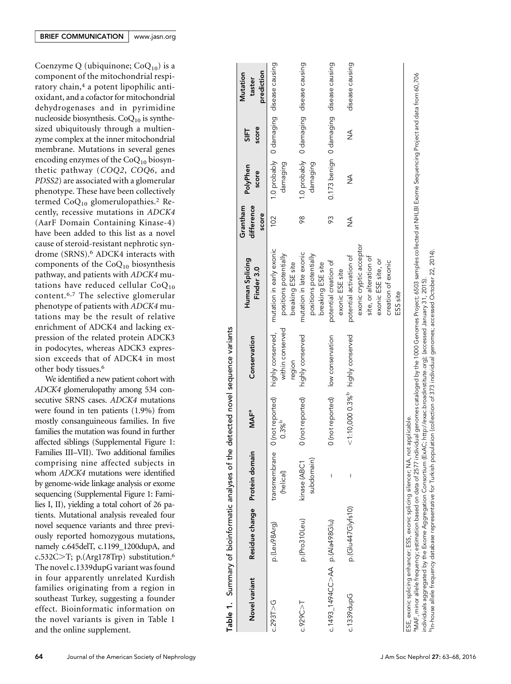| Table 1. Summary of bioinformatic analyses of the                                 |                               |                            |                                       | detected novel sequence variants                |                                                                                                                                       |                                 |                   |                      |                                         |
|-----------------------------------------------------------------------------------|-------------------------------|----------------------------|---------------------------------------|-------------------------------------------------|---------------------------------------------------------------------------------------------------------------------------------------|---------------------------------|-------------------|----------------------|-----------------------------------------|
| Novel variant                                                                     | Residue change Protein domain |                            | <b>MAFª</b>                           | Conservation                                    | Human Splicing<br>Finder 3.0                                                                                                          | Grantham<br>difference<br>score | PolyPhen<br>score | score<br><b>SIFT</b> | prediction<br>Mutation<br>taster        |
| c.293T > G                                                                        | p.(Leu98Arg)                  | transmembrane<br>(helical) | 0 (not reported)<br>0.3% <sup>b</sup> | within conserved<br>highly conserved,<br>region | mutation in early exonic<br>positions potentially<br>breaking ESE site                                                                | 102                             | damaging          |                      | 1.0 probably 0 damaging disease causing |
| c.929C > T                                                                        | p.(Pro310Leu)                 | subdomain)<br>kinase (ABC1 | 0 (not reported)                      | highly conserved                                | mutation in late exonic<br>positions potentially<br>breaking ESE site                                                                 | $\frac{8}{2}$                   | damaging          |                      | 1.0 probably 0 damaging disease causing |
|                                                                                   |                               | Ï                          |                                       | 0 (not reported) low conservation               | potential creation of<br>exonic ESE site                                                                                              | 93                              |                   |                      | 0.173 benign 0 damaging disease causing |
| c.1339dupG                                                                        | p.(Glu447Glyfs10)             | I                          |                                       | <1:10,000 0.3% highly conserved                 | exonic cryptic acceptor<br>potential activation of<br>site, or alteration of<br>exonic ESE site, or<br>creation of exonic<br>ESS site | ≸                               | $\frac{1}{2}$     | $\frac{1}{2}$        | disease causing                         |
| ESE, exonic splicing enhancer; ESS, exonic splicing silencer; NA, not applicable. |                               |                            |                                       |                                                 |                                                                                                                                       |                                 |                   |                      |                                         |

aMAF, minor allele frequency; estimation based on data of 2577 individual genomes cataloged by the 1000 Genomes Project; 6503 samples collected at NHLBI Exome Sequencing Project and data from 60,706 individuals aggregated by the Exome Aggregation Consortium (ExAC; <http://exac.broadinstitute.org>); (accessed January 31, 2015).

2014).

Coenzyme Q (ubiquinone;  $CoQ_{10}$ ) is a component of the mitochondrial respiratory chain,<sup>4</sup> a potent lipophilic antioxidant, and a cofactor for mitochondrial dehydrogenases and in pyrimidine nucleoside biosynthesis.  $CoQ_{10}$  is synthesized ubiquitously through a multienzyme complex at the inner mitochondrial membrane. Mutations in several genes encoding enzymes of the CoQ<sub>10</sub> biosynthetic pathway (COQ2, COQ6, and PDSS2) are associated with a glomerular phenotype. These have been collectively termed  $CoQ_{10}$  glomerulopathies.<sup>2</sup> Recently, recessive mutations in ADCK4 (AarF Domain Containing Kinase-4) have been added to this list as a novel cause of steroid-resistant nephrotic syndrome (SRNS).6 ADCK4 interacts with components of the  $CoQ<sub>10</sub>$  biosynthesis pathway, and patients with ADCK4 mutations have reduced cellular  $CoQ_{10}$ content.6,7 The selective glomerular phenotype of patients with ADCK4 mutations may be the result of relative enrichment of ADCK4 and lacking expression of the related protein ADCK3 in podocytes, whereas ADCK3 expression exceeds that of ADCK4 in most other body tissues.6

We identified a new patient cohort with ADCK4 glomerulopathy among 534 consecutive SRNS cases. ADCK4 mutations were found in ten patients (1.9%) from mostly consanguineous families. In five families the mutation was found in further affected siblings [\(Supplemental Figure 1](http://jasn.asnjournals.org/lookup/suppl/doi:10.1681/ASN.2014121240/-/DCSupplemental): Families III–VII). Two additional families comprising nine affected subjects in whom ADCK4 mutations were identified by genome-wide linkage analysis or exome sequencing [\(Supplemental Figure 1:](http://jasn.asnjournals.org/lookup/suppl/doi:10.1681/ASN.2014121240/-/DCSupplemental) Families I, II), yielding a total cohort of 26 patients. Mutational analysis revealed four novel sequence variants and three previously reported homozygous mutations, namely c.645delT, c.1199\_1200dupA, and c.532C $\ge$ T; p.(Arg178Trp) substitution.<sup>6</sup> The novel c.1339dupG variant was found in four apparently unrelated Kurdish families originating from a region in southeast Turkey, suggesting a founder effect. Bioinformatic information on the novel variants is given in Table 1 and the online supplement.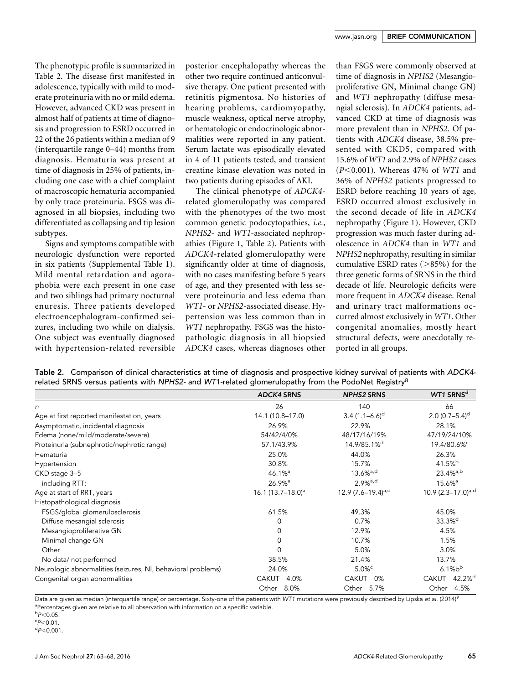The phenotypic profile is summarized in Table 2. The disease first manifested in adolescence, typically with mild to moderate proteinuria with no or mild edema. However, advanced CKD was present in almost half of patients at time of diagnosis and progression to ESRD occurred in 22 of the 26 patients within a median of 9 (interquartile range 0–44) months from diagnosis. Hematuria was present at time of diagnosis in 25% of patients, including one case with a chief complaint of macroscopic hematuria accompanied by only trace proteinuria. FSGS was diagnosed in all biopsies, including two differentiated as collapsing and tip lesion subtypes.

Signs and symptoms compatible with neurologic dysfunction were reported in six patients [\(Supplemental Table 1](http://jasn.asnjournals.org/lookup/suppl/doi:10.1681/ASN.2014121240/-/DCSupplemental)). Mild mental retardation and agoraphobia were each present in one case and two siblings had primary nocturnal enuresis. Three patients developed electroencephalogram-confirmed seizures, including two while on dialysis. One subject was eventually diagnosed with hypertension-related reversible posterior encephalopathy whereas the other two require continued anticonvulsive therapy. One patient presented with retinitis pigmentosa. No histories of hearing problems, cardiomyopathy, muscle weakness, optical nerve atrophy, or hematologic or endocrinologic abnormalities were reported in any patient. Serum lactate was episodically elevated in 4 of 11 patients tested, and transient creatine kinase elevation was noted in two patients during episodes of AKI.

The clinical phenotype of ADCK4 related glomerulopathy was compared with the phenotypes of the two most common genetic podocytopathies, i.e., NPHS2- and WT1-associated nephropathies (Figure 1, Table 2). Patients with ADCK4-related glomerulopathy were significantly older at time of diagnosis, with no cases manifesting before 5 years of age, and they presented with less severe proteinuria and less edema than WT1- or NPHS2-associated disease. Hypertension was less common than in WT1 nephropathy. FSGS was the histopathologic diagnosis in all biopsied ADCK4 cases, whereas diagnoses other

than FSGS were commonly observed at time of diagnosis in NPHS2 (Mesangioproliferative GN, Minimal change GN) and WT1 nephropathy (diffuse mesangial sclerosis). In ADCK4 patients, advanced CKD at time of diagnosis was more prevalent than in NPHS2. Of patients with ADCK4 disease, 38.5% presented with CKD5, compared with 15.6% of WT1 and 2.9% of NPHS2 cases  $(P<0.001)$ . Whereas 47% of WT1 and 36% of NPHS2 patients progressed to ESRD before reaching 10 years of age, ESRD occurred almost exclusively in the second decade of life in ADCK4 nephropathy (Figure 1). However, CKD progression was much faster during adolescence in ADCK4 than in WT1 and NPHS2 nephropathy, resulting in similar cumulative ESRD rates  $(>85%)$  for the three genetic forms of SRNS in the third decade of life. Neurologic deficits were more frequent in ADCK4 disease. Renal and urinary tract malformations occurred almost exclusively in WT1. Other congenital anomalies, mostly heart structural defects, were anecdotally reported in all groups.

Table 2. Comparison of clinical characteristics at time of diagnosis and prospective kidney survival of patients with ADCK4 related SRNS versus patients with NPHS2- and WT1-related glomerulopathy from the PodoNet Registry<sup>8</sup>

|                                                              | <b>ADCK4 SRNS</b>    | <b>NPHS2 SRNS</b>       | WT1 SRNS <sup>d</sup>           |
|--------------------------------------------------------------|----------------------|-------------------------|---------------------------------|
| n                                                            | 26                   | 140                     | 66                              |
| Age at first reported manifestation, years                   | 14.1 (10.8-17.0)     | $3.4(1.1-6.6)^d$        | 2.0 $(0.7-5.4)$ <sup>d</sup>    |
| Asymptomatic, incidental diagnosis                           | 26.9%                | 22.9%                   | 28.1%                           |
| Edema (none/mild/moderate/severe)                            | 54/42/4/0%           | 48/17/16/19%            | 47/19/24/10%                    |
| Proteinuria (subnephrotic/nephrotic range)                   | 57.1/43.9%           | 14.9/85.1% <sup>d</sup> | 19.4/80.6% <sup>c</sup>         |
| Hematuria                                                    | 25.0%                | 44.0%                   | 26.3%                           |
| Hypertension                                                 | 30.8%                | 15.7%                   | 41.5%                           |
| CKD stage 3-5                                                | 46.1% <sup>a</sup>   | 13.6% <sup>a,d</sup>    | 23.4% <sup>a,b</sup>            |
| including RTT:                                               | $26.9%$ <sup>a</sup> | $2.9%^{a,d}$            | 15.6% <sup>a</sup>              |
| Age at start of RRT, years                                   | 16.1 $(13.7-18.0)^a$ | 12.9 $(7.6-19.4)^{a,d}$ | 10.9 $(2.3-17.0)^{a,d}$         |
| Histopathological diagnosis                                  |                      |                         |                                 |
| FSGS/global glomerulosclerosis                               | 61.5%                | 49.3%                   | 45.0%                           |
| Diffuse mesangial sclerosis                                  | 0                    | 0.7%                    | 33.3% <sup>d</sup>              |
| Mesangioproliferative GN                                     | 0                    | 12.9%                   | 4.5%                            |
| Minimal change GN                                            | 0                    | 10.7%                   | 1.5%                            |
| Other                                                        | 0                    | 5.0%                    | 3.0%                            |
| No data/ not performed                                       | 38.5%                | 21.4%                   | 13.7%                           |
| Neurologic abnormalities (seizures, NI, behavioral problems) | 24.0%                | 5.0%c                   | $6.1%b^{b}$                     |
| Congenital organ abnormalities                               | <b>CAKUT</b><br>4.0% | <b>CAKUT</b><br>0%      | $42.2%^{\circ}$<br><b>CAKUT</b> |
|                                                              | Other 8.0%           | Other 5.7%              | Other 4.5%                      |

Data are given as median (interquartile range) or percentage. Sixty-one of the patients with WT1 mutations were previously described by Lipska et al. (2014)<sup>9</sup> <sup>a</sup>Percentages given are relative to all observation with information on a specific variable.

 $\rm ^{b}P<$ 0.05.

 $\degree$ P $<$ 0.01.

 $\rm ^{d}P<$ 0.001.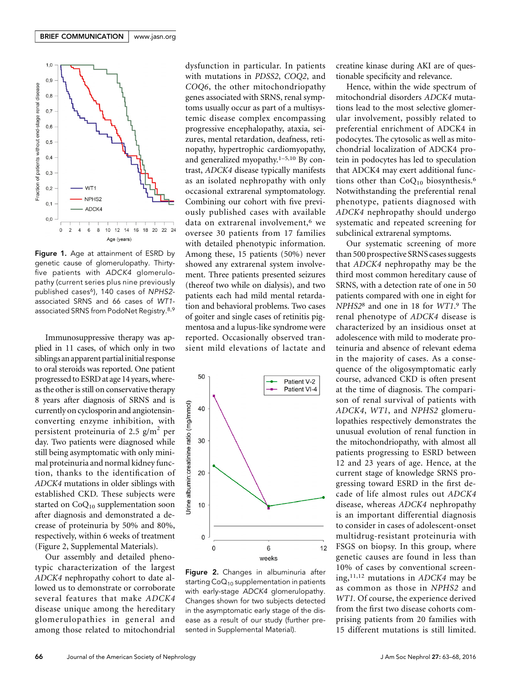

Figure 1. Age at attainment of ESRD by genetic cause of glomerulopathy. Thirtyfive patients with ADCK4 glomerulopathy (current series plus nine previously published cases<sup>6</sup>), 140 cases of NPHS2associated SRNS and 66 cases of WT1 associated SRNS from PodoNet Registry.<sup>8,9</sup>

Immunosuppressive therapy was applied in 11 cases, of which only in two siblings an apparent partial initial response to oral steroids was reported. One patient progressed to ESRD at age 14 years, whereas the other is still on conservative therapy 8 years after diagnosis of SRNS and is currently on cyclosporin and angiotensinconverting enzyme inhibition, with persistent proteinuria of 2.5  $g/m^2$  per day. Two patients were diagnosed while still being asymptomatic with only minimal proteinuria and normal kidney function, thanks to the identification of ADCK4 mutations in older siblings with established CKD. These subjects were started on  $CoQ_{10}$  supplementation soon after diagnosis and demonstrated a decrease of proteinuria by 50% and 80%, respectively, within 6 weeks of treatment (Figure 2, [Supplemental Materials](http://jasn.asnjournals.org/lookup/suppl/doi:10.1681/ASN.2014121240/-/DCSupplemental)).

Our assembly and detailed phenotypic characterization of the largest ADCK4 nephropathy cohort to date allowed us to demonstrate or corroborate several features that make ADCK4 disease unique among the hereditary glomerulopathies in general and among those related to mitochondrial

dysfunction in particular. In patients with mutations in PDSS2, COQ2, and COQ6, the other mitochondriopathy genes associated with SRNS, renal symptoms usually occur as part of a multisystemic disease complex encompassing progressive encephalopathy, ataxia, seizures, mental retardation, deafness, retinopathy, hypertrophic cardiomyopathy, and generalized myopathy.1–5,10 By contrast, ADCK4 disease typically manifests as an isolated nephropathy with only occasional extrarenal symptomatology. Combining our cohort with five previously published cases with available data on extrarenal involvement,<sup>6</sup> we oversee 30 patients from 17 families with detailed phenotypic information. Among these, 15 patients (50%) never showed any extrarenal system involvement. Three patients presented seizures (thereof two while on dialysis), and two patients each had mild mental retardation and behavioral problems. Two cases of goiter and single cases of retinitis pigmentosa and a lupus-like syndrome were reported. Occasionally observed transient mild elevations of lactate and



Figure 2. Changes in albuminuria after starting  $CoO<sub>10</sub>$  supplementation in patients with early-stage ADCK4 glomerulopathy. Changes shown for two subjects detected in the asymptomatic early stage of the disease as a result of our study (further presented in [Supplemental Material\)](http://jasn.asnjournals.org/lookup/suppl/doi:10.1681/ASN.2014121240/-/DCSupplemental).

creatine kinase during AKI are of questionable specificity and relevance.

Hence, within the wide spectrum of mitochondrial disorders ADCK4 mutations lead to the most selective glomerular involvement, possibly related to preferential enrichment of ADCK4 in podocytes. The cytosolic as well as mitochondrial localization of ADCK4 protein in podocytes has led to speculation that ADCK4 may exert additional functions other than  $CoQ_{10}$  biosynthesis.<sup>6</sup> Notwithstanding the preferential renal phenotype, patients diagnosed with ADCK4 nephropathy should undergo systematic and repeated screening for subclinical extrarenal symptoms.

Our systematic screening of more than 500 prospective SRNS cases suggests that ADCK4 nephropathy may be the third most common hereditary cause of SRNS, with a detection rate of one in 50 patients compared with one in eight for NPHS2<sup>8</sup> and one in 18 for WT1. <sup>9</sup> The renal phenotype of ADCK4 disease is characterized by an insidious onset at adolescence with mild to moderate proteinuria and absence of relevant edema in the majority of cases. As a consequence of the oligosymptomatic early course, advanced CKD is often present at the time of diagnosis. The comparison of renal survival of patients with ADCK4, WT1, and NPHS2 glomerulopathies respectively demonstrates the unusual evolution of renal function in the mitochondriopathy, with almost all patients progressing to ESRD between 12 and 23 years of age. Hence, at the current stage of knowledge SRNS progressing toward ESRD in the first decade of life almost rules out ADCK4 disease, whereas ADCK4 nephropathy is an important differential diagnosis to consider in cases of adolescent-onset multidrug-resistant proteinuria with FSGS on biopsy. In this group, where genetic causes are found in less than 10% of cases by conventional screening,11,12 mutations in ADCK4 may be as common as those in NPHS2 and WT1. Of course, the experience derived from the first two disease cohorts comprising patients from 20 families with 15 different mutations is still limited.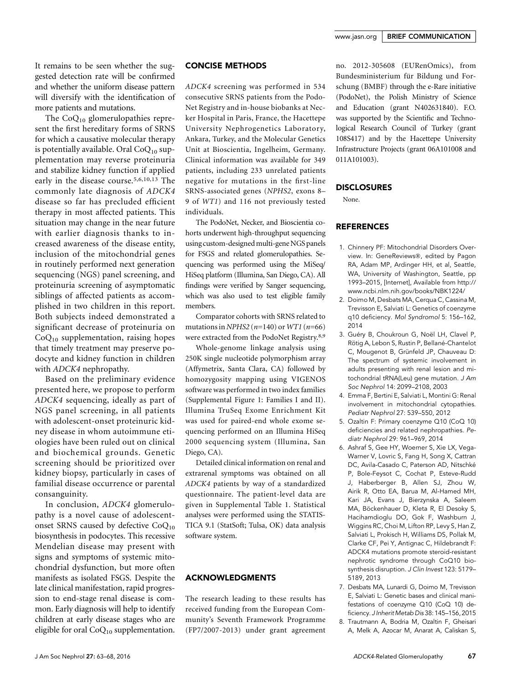It remains to be seen whether the suggested detection rate will be confirmed and whether the uniform disease pattern will diversify with the identification of more patients and mutations.

The  $CoQ_{10}$  glomerulopathies represent the first hereditary forms of SRNS for which a causative molecular therapy is potentially available. Oral  $CoQ_{10}$  supplementation may reverse proteinuria and stabilize kidney function if applied early in the disease course.5,6,10,13 The commonly late diagnosis of ADCK4 disease so far has precluded efficient therapy in most affected patients. This situation may change in the near future with earlier diagnosis thanks to increased awareness of the disease entity, inclusion of the mitochondrial genes in routinely performed next generation sequencing (NGS) panel screening, and proteinuria screening of asymptomatic siblings of affected patients as accomplished in two children in this report. Both subjects indeed demonstrated a significant decrease of proteinuria on CoQ10 supplementation, raising hopes that timely treatment may preserve podocyte and kidney function in children with ADCK4 nephropathy.

Based on the preliminary evidence presented here, we propose to perform ADCK4 sequencing, ideally as part of NGS panel screening, in all patients with adolescent-onset proteinuric kidney disease in whom autoimmune etiologies have been ruled out on clinical and biochemical grounds. Genetic screening should be prioritized over kidney biopsy, particularly in cases of familial disease occurrence or parental consanguinity.

In conclusion, ADCK4 glomerulopathy is a novel cause of adolescentonset SRNS caused by defective CoQ<sub>10</sub> biosynthesis in podocytes. This recessive Mendelian disease may present with signs and symptoms of systemic mitochondrial dysfunction, but more often manifests as isolated FSGS. Despite the late clinical manifestation, rapid progression to end-stage renal disease is common. Early diagnosis will help to identify children at early disease stages who are eligible for oral  $CoQ_{10}$  supplementation.

## CONCISE METHODS

ADCK4 screening was performed in 534 consecutive SRNS patients from the Podo-Net Registry and in-house biobanks at Necker Hospital in Paris, France, the Hacettepe University Nephrogenetics Laboratory, Ankara, Turkey, and the Molecular Genetics Unit at Bioscientia, Ingelheim, Germany. Clinical information was available for 349 patients, including 233 unrelated patients negative for mutations in the first-line SRNS-associated genes (NPHS2, exons 8– 9 of WT1) and 116 not previously tested individuals.

The PodoNet, Necker, and Bioscientia cohorts underwent high-throughput sequencing using custom-designedmulti-gene NGS panels for FSGS and related glomerulopathies. Sequencing was performed using the MiSeq/ HiSeq platform (Illumina, San Diego, CA). All findings were verified by Sanger sequencing, which was also used to test eligible family members.

Comparator cohorts with SRNS related to mutations in NPHS2 ( $n=140$ ) or WT1 ( $n=66$ ) were extracted from the PodoNet Registry.8,9

Whole-genome linkage analysis using 250K single nucleotide polymorphism array (Affymetrix, Santa Clara, CA) followed by homozygosity mapping using VIGENOS software was performed in two index families ([Supplemental Figure 1](http://jasn.asnjournals.org/lookup/suppl/doi:10.1681/ASN.2014121240/-/DCSupplemental): Families I and II). Illumina TruSeq Exome Enrichment Kit was used for paired-end whole exome sequencing performed on an Illumina HiSeq 2000 sequencing system (Illumina, San Diego, CA).

Detailed clinical information on renal and extrarenal symptoms was obtained on all ADCK4 patients by way of a standardized questionnaire. The patient-level data are given in Supplemental Table 1. Statistical analyses were performed using the STATIS-TICA 9.1 (StatSoft; Tulsa, OK) data analysis software system.

### ACKNOWLEDGMENTS

The research leading to these results has received funding from the European Community's Seventh Framework Programme (FP7/2007-2013) under grant agreement no. 2012-305608 (EURenOmics), from Bundesministerium für Bildung und Forschung (BMBF) through the e-Rare initiative (PodoNet), the Polish Ministry of Science and Education (grant N402631840). F.O. was supported by the Scientific and Technological Research Council of Turkey (grant 108S417) and by the Hacettepe University Infrastructure Projects (grant 06A101008 and 011A101003).

#### DISCLOSURES

None.

#### REFERENCES

- 1. Chinnery PF: Mitochondrial Disorders Overview. In: GeneReviews®, edited by Pagon RA, Adam MP, Ardinger HH, et al, Seattle, WA, University of Washington, Seattle, pp 1993–2015, [Internet], Available from [http://](http://www.ncbi.nlm.nih.gov/books/NBK1224/) [www.ncbi.nlm.nih.gov/books/NBK1224/](http://www.ncbi.nlm.nih.gov/books/NBK1224/)
- 2. Doimo M, Desbats MA, Cerqua C, Cassina M, Trevisson E, Salviati L: Genetics of coenzyme q10 deficiency. Mol Syndromol 5: 156–162, 2014
- 3. Guéry B, Choukroun G, Noël LH, Clavel P, Rötig A, Lebon S, Rustin P, Bellané-Chantelot C, Mougenot B, Grünfeld JP, Chauveau D: The spectrum of systemic involvement in adults presenting with renal lesion and mitochondrial tRNA(Leu) gene mutation. J Am Soc Nephrol 14: 2099–2108, 2003
- 4. Emma F, Bertini E, Salviati L, Montini G: Renal involvement in mitochondrial cytopathies. Pediatr Nephrol 27: 539–550, 2012
- 5. Ozaltin F: Primary coenzyme Q10 (CoQ 10) deficiencies and related nephropathies. Pediatr Nephrol 29: 961–969, 2014
- 6. Ashraf S, Gee HY, Woerner S, Xie LX, Vega-Warner V, Lovric S, Fang H, Song X, Cattran DC, Avila-Casado C, Paterson AD, Nitschké P, Bole-Feysot C, Cochat P, Esteve-Rudd J, Haberberger B, Allen SJ, Zhou W, Airik R, Otto EA, Barua M, Al-Hamed MH, Kari JA, Evans J, Bierzynska A, Saleem MA, Böckenhauer D, Kleta R, El Desoky S, Hacihamdioglu DO, Gok F, Washburn J, Wiggins RC, Choi M, Lifton RP, Levy S, Han Z, Salviati L, Prokisch H, Williams DS, Pollak M, Clarke CF, Pei Y, Antignac C, Hildebrandt F: ADCK4 mutations promote steroid-resistant nephrotic syndrome through CoQ10 biosynthesis disruption. J Clin Invest 123: 5179– 5189, 2013
- 7. Desbats MA, Lunardi G, Doimo M, Trevisson E, Salviati L: Genetic bases and clinical manifestations of coenzyme Q10 (CoQ 10) deficiency. J Inherit Metab Dis 38: 145–156, 2015
- 8. Trautmann A, Bodria M, Ozaltin F, Gheisari A, Melk A, Azocar M, Anarat A, Caliskan S,